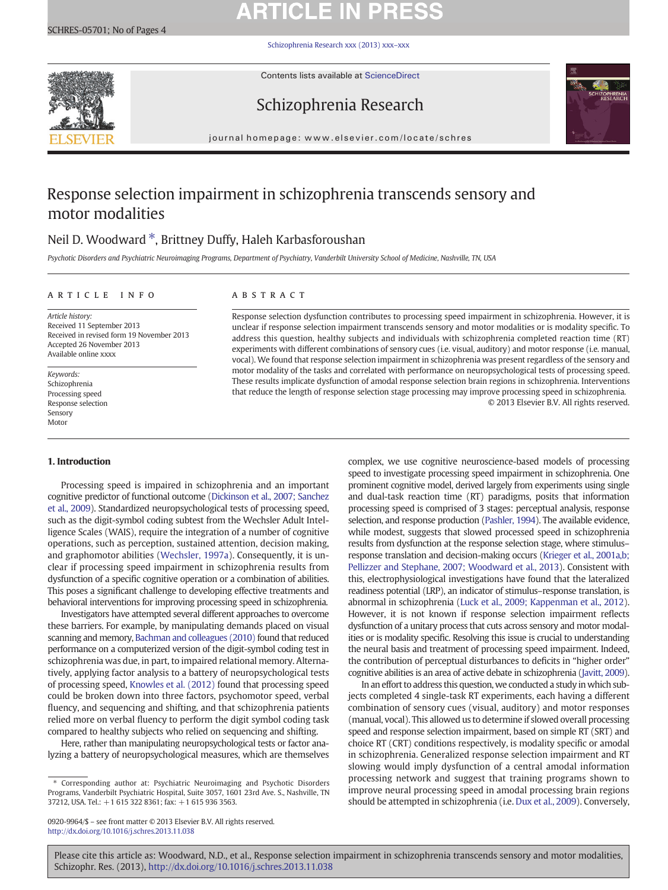# **ARTICLE IN PRESS**

[Schizophrenia Research xxx \(2013\) xxx](http://dx.doi.org/10.1016/j.schres.2013.11.038)–xxx



Contents lists available at ScienceDirect





journal homepage: www.elsevier.com/locate/schres

## Response selection impairment in schizophrenia transcends sensory and motor modalities

## Neil D. Woodward  $*$ , Brittney Duffy, Haleh Karbasforoushan

Psychotic Disorders and Psychiatric Neuroimaging Programs, Department of Psychiatry, Vanderbilt University School of Medicine, Nashville, TN, USA

#### article info abstract

Article history: Received 11 September 2013 Received in revised form 19 November 2013 Accepted 26 November 2013 Available online xxxx

Keywords: Schizophrenia Processing speed Response selection Sensory Motor

#### 1. Introduction

Processing speed is impaired in schizophrenia and an important cognitive predictor of functional outcome ([Dickinson et al., 2007; Sanchez](#page-3-0) [et al., 2009\)](#page-3-0). Standardized neuropsychological tests of processing speed, such as the digit-symbol coding subtest from the Wechsler Adult Intelligence Scales (WAIS), require the integration of a number of cognitive operations, such as perception, sustained attention, decision making, and graphomotor abilities [\(Wechsler, 1997a\)](#page-3-0). Consequently, it is unclear if processing speed impairment in schizophrenia results from dysfunction of a specific cognitive operation or a combination of abilities. This poses a significant challenge to developing effective treatments and behavioral interventions for improving processing speed in schizophrenia.

Investigators have attempted several different approaches to overcome these barriers. For example, by manipulating demands placed on visual scanning and memory, [Bachman and colleagues \(2010\)](#page-3-0) found that reduced performance on a computerized version of the digit-symbol coding test in schizophrenia was due, in part, to impaired relational memory. Alternatively, applying factor analysis to a battery of neuropsychological tests of processing speed, [Knowles et al. \(2012\)](#page-3-0) found that processing speed could be broken down into three factors, psychomotor speed, verbal fluency, and sequencing and shifting, and that schizophrenia patients relied more on verbal fluency to perform the digit symbol coding task compared to healthy subjects who relied on sequencing and shifting.

Here, rather than manipulating neuropsychological tests or factor analyzing a battery of neuropsychological measures, which are themselves

Response selection dysfunction contributes to processing speed impairment in schizophrenia. However, it is unclear if response selection impairment transcends sensory and motor modalities or is modality specific. To address this question, healthy subjects and individuals with schizophrenia completed reaction time (RT) experiments with different combinations of sensory cues (i.e. visual, auditory) and motor response (i.e. manual, vocal). We found that response selection impairment in schizophrenia was present regardless of the sensory and motor modality of the tasks and correlated with performance on neuropsychological tests of processing speed. These results implicate dysfunction of amodal response selection brain regions in schizophrenia. Interventions that reduce the length of response selection stage processing may improve processing speed in schizophrenia. © 2013 Elsevier B.V. All rights reserved.

> complex, we use cognitive neuroscience-based models of processing speed to investigate processing speed impairment in schizophrenia. One prominent cognitive model, derived largely from experiments using single and dual-task reaction time (RT) paradigms, posits that information processing speed is comprised of 3 stages: perceptual analysis, response selection, and response production ([Pashler, 1994](#page-3-0)). The available evidence, while modest, suggests that slowed processed speed in schizophrenia results from dysfunction at the response selection stage, where stimulus– response translation and decision-making occurs [\(Krieger et al., 2001a,b;](#page-3-0) [Pellizzer and Stephane, 2007; Woodward et al., 2013\)](#page-3-0). Consistent with this, electrophysiological investigations have found that the lateralized readiness potential (LRP), an indicator of stimulus–response translation, is abnormal in schizophrenia ([Luck et al., 2009; Kappenman et al., 2012](#page-3-0)). However, it is not known if response selection impairment reflects dysfunction of a unitary process that cuts across sensory and motor modalities or is modality specific. Resolving this issue is crucial to understanding the neural basis and treatment of processing speed impairment. Indeed, the contribution of perceptual disturbances to deficits in "higher order" cognitive abilities is an area of active debate in schizophrenia [\(Javitt, 2009\)](#page-3-0).

> In an effort to address this question, we conducted a study in which subjects completed 4 single-task RT experiments, each having a different combination of sensory cues (visual, auditory) and motor responses (manual, vocal). This allowed us to determine if slowed overall processing speed and response selection impairment, based on simple RT (SRT) and choice RT (CRT) conditions respectively, is modality specific or amodal in schizophrenia. Generalized response selection impairment and RT slowing would imply dysfunction of a central amodal information processing network and suggest that training programs shown to improve neural processing speed in amodal processing brain regions should be attempted in schizophrenia (i.e. [Dux et al., 2009\)](#page-3-0). Conversely,

Please cite this article as: Woodward, N.D., et al., Response selection impairment in schizophrenia transcends sensory and motor modalities, Schizophr. Res. (2013), <http://dx.doi.org/10.1016/j.schres.2013.11.038>

<sup>⁎</sup> Corresponding author at: Psychiatric Neuroimaging and Psychotic Disorders Programs, Vanderbilt Psychiatric Hospital, Suite 3057, 1601 23rd Ave. S., Nashville, TN 37212, USA. Tel.: +1 615 322 8361; fax: +1 615 936 3563.

<sup>0920-9964/\$</sup> – see front matter © 2013 Elsevier B.V. All rights reserved. <http://dx.doi.org/10.1016/j.schres.2013.11.038>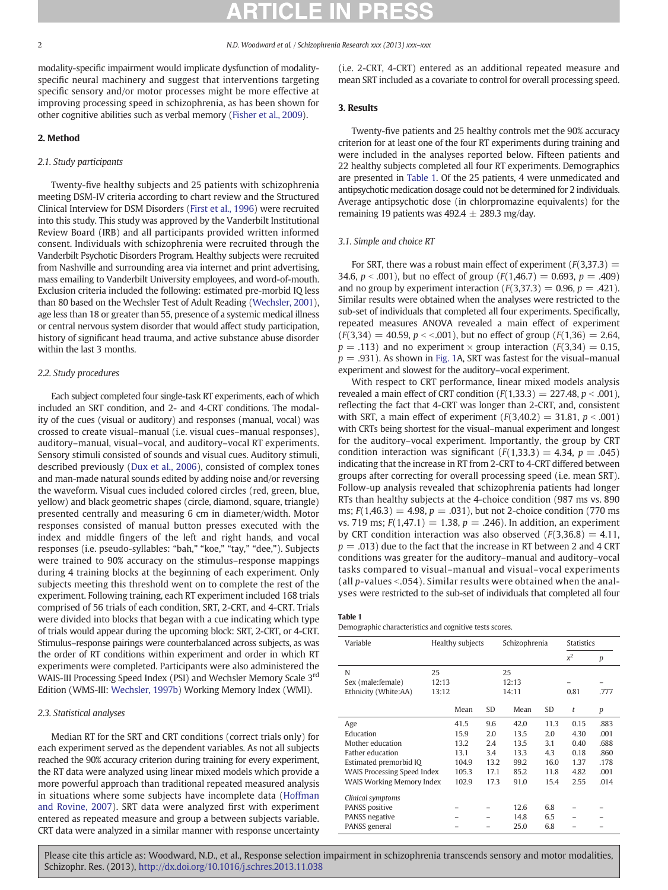modality-specific impairment would implicate dysfunction of modalityspecific neural machinery and suggest that interventions targeting specific sensory and/or motor processes might be more effective at improving processing speed in schizophrenia, as has been shown for other cognitive abilities such as verbal memory [\(Fisher et al., 2009\)](#page-3-0).

### 2. Method

### 2.1. Study participants

Twenty-five healthy subjects and 25 patients with schizophrenia meeting DSM-IV criteria according to chart review and the Structured Clinical Interview for DSM Disorders ([First et al., 1996](#page-3-0)) were recruited into this study. This study was approved by the Vanderbilt Institutional Review Board (IRB) and all participants provided written informed consent. Individuals with schizophrenia were recruited through the Vanderbilt Psychotic Disorders Program. Healthy subjects were recruited from Nashville and surrounding area via internet and print advertising, mass emailing to Vanderbilt University employees, and word-of-mouth. Exclusion criteria included the following: estimated pre-morbid IQ less than 80 based on the Wechsler Test of Adult Reading [\(Wechsler, 2001\)](#page-3-0), age less than 18 or greater than 55, presence of a systemic medical illness or central nervous system disorder that would affect study participation, history of significant head trauma, and active substance abuse disorder within the last 3 months.

#### 2.2. Study procedures

Each subject completed four single-task RT experiments, each of which included an SRT condition, and 2- and 4-CRT conditions. The modality of the cues (visual or auditory) and responses (manual, vocal) was crossed to create visual–manual (i.e. visual cues–manual responses), auditory–manual, visual–vocal, and auditory–vocal RT experiments. Sensory stimuli consisted of sounds and visual cues. Auditory stimuli, described previously ([Dux et al., 2006\)](#page-3-0), consisted of complex tones and man-made natural sounds edited by adding noise and/or reversing the waveform. Visual cues included colored circles (red, green, blue, yellow) and black geometric shapes (circle, diamond, square, triangle) presented centrally and measuring 6 cm in diameter/width. Motor responses consisted of manual button presses executed with the index and middle fingers of the left and right hands, and vocal responses (i.e. pseudo-syllables: "bah," "koe," "tay," "dee,"). Subjects were trained to 90% accuracy on the stimulus–response mappings during 4 training blocks at the beginning of each experiment. Only subjects meeting this threshold went on to complete the rest of the experiment. Following training, each RT experiment included 168 trials comprised of 56 trials of each condition, SRT, 2-CRT, and 4-CRT. Trials were divided into blocks that began with a cue indicating which type of trials would appear during the upcoming block: SRT, 2-CRT, or 4-CRT. Stimulus–response pairings were counterbalanced across subjects, as was the order of RT conditions within experiment and order in which RT experiments were completed. Participants were also administered the WAIS-III Processing Speed Index (PSI) and Wechsler Memory Scale 3<sup>rd</sup> Edition (WMS-III: [Wechsler, 1997b\)](#page-3-0) Working Memory Index (WMI).

#### 2.3. Statistical analyses

Median RT for the SRT and CRT conditions (correct trials only) for each experiment served as the dependent variables. As not all subjects reached the 90% accuracy criterion during training for every experiment, the RT data were analyzed using linear mixed models which provide a more powerful approach than traditional repeated measured analysis in situations where some subjects have incomplete data ([Hoffman](#page-3-0) [and Rovine, 2007](#page-3-0)). SRT data were analyzed first with experiment entered as repeated measure and group a between subjects variable. CRT data were analyzed in a similar manner with response uncertainty (i.e. 2-CRT, 4-CRT) entered as an additional repeated measure and mean SRT included as a covariate to control for overall processing speed.

### 3. Results

Twenty-five patients and 25 healthy controls met the 90% accuracy criterion for at least one of the four RT experiments during training and were included in the analyses reported below. Fifteen patients and 22 healthy subjects completed all four RT experiments. Demographics are presented in Table 1. Of the 25 patients, 4 were unmedicated and antipsychotic medication dosage could not be determined for 2 individuals. Average antipsychotic dose (in chlorpromazine equivalents) for the remaining 19 patients was  $492.4 \pm 289.3$  mg/day.

#### 3.1. Simple and choice RT

For SRT, there was a robust main effect of experiment  $(F(3,37.3) =$ 34.6,  $p < .001$ ), but no effect of group ( $F(1,46.7) = 0.693$ ,  $p = .409$ ) and no group by experiment interaction  $(F(3,37.3) = 0.96, p = .421)$ . Similar results were obtained when the analyses were restricted to the sub-set of individuals that completed all four experiments. Specifically, repeated measures ANOVA revealed a main effect of experiment  $(F(3,34) = 40.59, p \lt 0.001)$ , but no effect of group  $(F(1,36) = 2.64, p \lt 0.001)$  $p = .113$ ) and no experiment  $\times$  group interaction ( $F(3,34) = 0.15$ ,  $p = .931$ ). As shown in [Fig. 1](#page-2-0)A, SRT was fastest for the visual–manual experiment and slowest for the auditory–vocal experiment.

With respect to CRT performance, linear mixed models analysis revealed a main effect of CRT condition  $(F(1,33.3) = 227.48, p < .001)$ , reflecting the fact that 4-CRT was longer than 2-CRT, and, consistent with SRT, a main effect of experiment  $(F(3, 40.2) = 31.81, p < .001)$ with CRTs being shortest for the visual–manual experiment and longest for the auditory–vocal experiment. Importantly, the group by CRT condition interaction was significant  $(F(1,33.3) = 4.34, p = .045)$ indicating that the increase in RT from 2-CRT to 4-CRT differed between groups after correcting for overall processing speed (i.e. mean SRT). Follow-up analysis revealed that schizophrenia patients had longer RTs than healthy subjects at the 4-choice condition (987 ms vs. 890 ms;  $F(1,46.3) = 4.98$ ,  $p = .031$ ), but not 2-choice condition (770 ms vs. 719 ms;  $F(1,47.1) = 1.38$ ,  $p = .246$ ). In addition, an experiment by CRT condition interaction was also observed  $(F(3,36.8) = 4.11,$  $p = .013$ ) due to the fact that the increase in RT between 2 and 4 CRT conditions was greater for the auditory–manual and auditory–vocal tasks compared to visual–manual and visual–vocal experiments (all  $p$ -values <.054). Similar results were obtained when the analyses were restricted to the sub-set of individuals that completed all four

#### Table 1

Demographic characteristics and cognitive tests scores.

| Variable                         | Healthy subjects |       |           | Schizophrenia |      | <b>Statistics</b> |      |
|----------------------------------|------------------|-------|-----------|---------------|------|-------------------|------|
|                                  |                  |       |           |               |      | $x^2$             | p    |
| 25<br>N                          |                  |       |           | 25            |      |                   |      |
| Sex (male: female)<br>12:13      |                  | 12:13 |           |               |      |                   |      |
| Ethnicity (White:AA)             | 13:12            | 14:11 |           | 0.81          | .777 |                   |      |
|                                  |                  | Mean  | <b>SD</b> | Mean          | SD   | t                 | p    |
| Age                              |                  | 41.5  | 9.6       | 42.0          | 11.3 | 0.15              | .883 |
| Education                        |                  | 15.9  | 2.0       | 13.5          | 2.0  | 4.30              | .001 |
| Mother education                 |                  | 13.2  | 2.4       | 13.5          | 3.1  | 0.40              | .688 |
| Father education                 |                  | 13.1  | 3.4       | 13.3          | 4.3  | 0.18              | .860 |
| Estimated premorbid IQ           |                  | 104.9 | 13.2      | 99.2          | 16.0 | 1.37              | .178 |
| WAIS Processing Speed Index      |                  | 105.3 | 17.1      | 85.2          | 11.8 | 4.82              | .001 |
| <b>WAIS Working Memory Index</b> |                  | 102.9 | 17.3      | 91.0          | 15.4 | 2.55              | .014 |
| Clinical symptoms                |                  |       |           |               |      |                   |      |
| PANSS positive                   |                  |       |           | 12.6          | 6.8  |                   |      |
| PANSS negative                   |                  |       |           | 14.8          | 6.5  |                   |      |
| PANSS general                    |                  |       |           | 25.0          | 6.8  |                   |      |

Please cite this article as: Woodward, N.D., et al., Response selection impairment in schizophrenia transcends sensory and motor modalities, Schizophr. Res. (2013), <http://dx.doi.org/10.1016/j.schres.2013.11.038>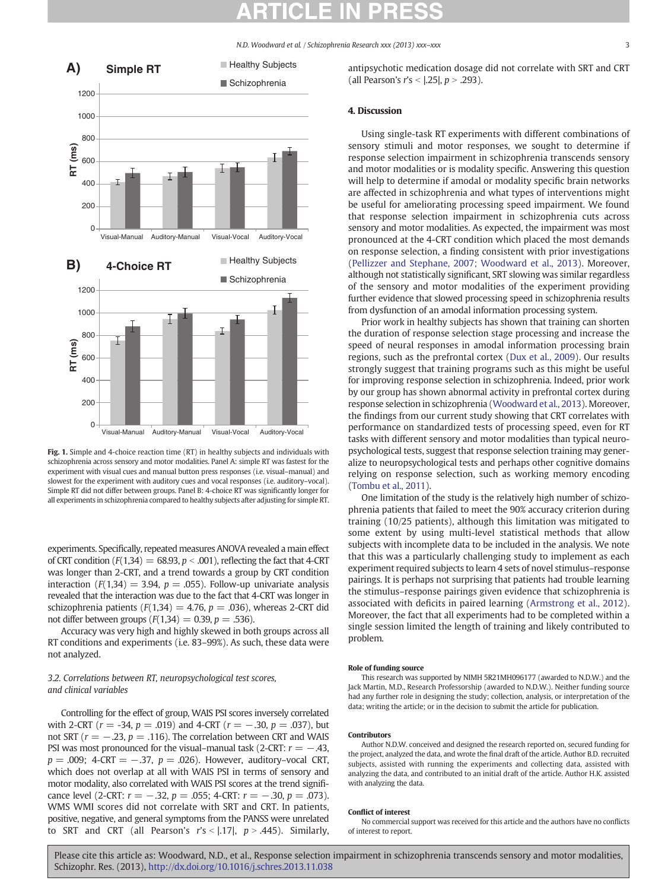N.D. Woodward et al. / Schizophrenia Research xxx (2013) xxx–xxx 3

<span id="page-2-0"></span>

Fig. 1. Simple and 4-choice reaction time (RT) in healthy subjects and individuals with schizophrenia across sensory and motor modalities. Panel A: simple RT was fastest for the experiment with visual cues and manual button press responses (i.e. visual–manual) and slowest for the experiment with auditory cues and vocal responses (i.e. auditory–vocal). Simple RT did not differ between groups. Panel B: 4-choice RT was significantly longer for all experiments in schizophrenia compared to healthy subjects after adjusting for simple RT.

experiments. Specifically, repeated measures ANOVA revealed a main effect of CRT condition ( $F(1,34) = 68.93$ ,  $p < .001$ ), reflecting the fact that 4-CRT was longer than 2-CRT, and a trend towards a group by CRT condition interaction ( $F(1,34) = 3.94$ ,  $p = .055$ ). Follow-up univariate analysis revealed that the interaction was due to the fact that 4-CRT was longer in schizophrenia patients ( $F(1,34) = 4.76$ ,  $p = .036$ ), whereas 2-CRT did not differ between groups  $(F(1,34) = 0.39, p = .536)$ .

Accuracy was very high and highly skewed in both groups across all RT conditions and experiments (i.e. 83–99%). As such, these data were not analyzed.

### 3.2. Correlations between RT, neuropsychological test scores, and clinical variables

Controlling for the effect of group, WAIS PSI scores inversely correlated with 2-CRT ( $r = -34$ ,  $p = .019$ ) and 4-CRT ( $r = -.30$ ,  $p = .037$ ), but not SRT ( $r = -.23$ ,  $p = .116$ ). The correlation between CRT and WAIS PSI was most pronounced for the visual–manual task (2-CRT:  $r = -.43$ ,  $p = .009$ ; 4-CRT = -.37,  $p = .026$ ). However, auditory-vocal CRT, which does not overlap at all with WAIS PSI in terms of sensory and motor modality, also correlated with WAIS PSI scores at the trend significance level (2-CRT:  $r = -.32$ ,  $p = .055$ ; 4-CRT:  $r = -.30$ ,  $p = .073$ ). WMS WMI scores did not correlate with SRT and CRT. In patients, positive, negative, and general symptoms from the PANSS were unrelated to SRT and CRT (all Pearson's  $r's < |.17|$ ,  $p > .445$ ). Similarly, antipsychotic medication dosage did not correlate with SRT and CRT (all Pearson's  $r's < |.25|, p > .293$ ).

### 4. Discussion

Using single-task RT experiments with different combinations of sensory stimuli and motor responses, we sought to determine if response selection impairment in schizophrenia transcends sensory and motor modalities or is modality specific. Answering this question will help to determine if amodal or modality specific brain networks are affected in schizophrenia and what types of interventions might be useful for ameliorating processing speed impairment. We found that response selection impairment in schizophrenia cuts across sensory and motor modalities. As expected, the impairment was most pronounced at the 4-CRT condition which placed the most demands on response selection, a finding consistent with prior investigations [\(Pellizzer and Stephane, 2007; Woodward et al., 2013](#page-3-0)). Moreover, although not statistically significant, SRT slowing was similar regardless of the sensory and motor modalities of the experiment providing further evidence that slowed processing speed in schizophrenia results from dysfunction of an amodal information processing system.

Prior work in healthy subjects has shown that training can shorten the duration of response selection stage processing and increase the speed of neural responses in amodal information processing brain regions, such as the prefrontal cortex ([Dux et al., 2009\)](#page-3-0). Our results strongly suggest that training programs such as this might be useful for improving response selection in schizophrenia. Indeed, prior work by our group has shown abnormal activity in prefrontal cortex during response selection in schizophrenia ([Woodward et al., 2013\)](#page-3-0). Moreover, the findings from our current study showing that CRT correlates with performance on standardized tests of processing speed, even for RT tasks with different sensory and motor modalities than typical neuropsychological tests, suggest that response selection training may generalize to neuropsychological tests and perhaps other cognitive domains relying on response selection, such as working memory encoding [\(Tombu et al., 2011\)](#page-3-0).

One limitation of the study is the relatively high number of schizophrenia patients that failed to meet the 90% accuracy criterion during training (10/25 patients), although this limitation was mitigated to some extent by using multi-level statistical methods that allow subjects with incomplete data to be included in the analysis. We note that this was a particularly challenging study to implement as each experiment required subjects to learn 4 sets of novel stimulus–response pairings. It is perhaps not surprising that patients had trouble learning the stimulus–response pairings given evidence that schizophrenia is associated with deficits in paired learning ([Armstrong et al., 2012](#page-3-0)). Moreover, the fact that all experiments had to be completed within a single session limited the length of training and likely contributed to problem.

#### Role of funding source

This research was supported by NIMH 5R21MH096177 (awarded to N.D.W.) and the Jack Martin, M.D., Research Professorship (awarded to N.D.W.). Neither funding source had any further role in designing the study; collection, analysis, or interpretation of the data; writing the article; or in the decision to submit the article for publication.

#### Contributors

Author N.D.W. conceived and designed the research reported on, secured funding for the project, analyzed the data, and wrote the final draft of the article. Author B.D. recruited subjects, assisted with running the experiments and collecting data, assisted with analyzing the data, and contributed to an initial draft of the article. Author H.K. assisted with analyzing the data.

#### Conflict of interest

No commercial support was received for this article and the authors have no conflicts of interest to report.

Please cite this article as: Woodward, N.D., et al., Response selection impairment in schizophrenia transcends sensory and motor modalities, Schizophr. Res. (2013), <http://dx.doi.org/10.1016/j.schres.2013.11.038>